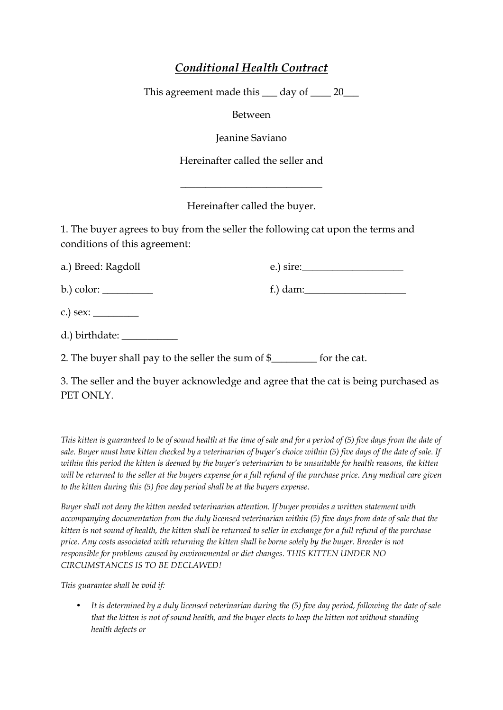## *Conditional Health Contract*

This agreement made this  $\_\_$  day of  $\_\_$  20 $\_\_$ 

Between

Jeanine Saviano

Hereinafter called the seller and

Hereinafter called the buyer.

 $\overline{\phantom{a}}$  , where  $\overline{\phantom{a}}$  , where  $\overline{\phantom{a}}$  , where  $\overline{\phantom{a}}$ 

1. The buyer agrees to buy from the seller the following cat upon the terms and conditions of this agreement:

| a.) Breed: Ragdoll                                                                 | $(e.)$ sire:             |
|------------------------------------------------------------------------------------|--------------------------|
| b.) color: ___________                                                             | f.) dam: $\qquad \qquad$ |
| c.) sex: $\_\_$                                                                    |                          |
| d.) birthdate: __________                                                          |                          |
| 2. The buyer shall pay to the seller the sum of $\frac{1}{2}$ for the cat.         |                          |
| 2. The college and the burrer orlineau ledge and ognes that the cottle helma wurde |                          |

3. The seller and the buyer acknowledge and agree that the cat is being purchased as PET ONLY.

*This kitten is guaranteed to be of sound health at the time of sale and for a period of (5) five days from the date of sale. Buyer must have kitten checked by a veterinarian of buyer's choice within (5) five days of the date of sale. If within this period the kitten is deemed by the buyer's veterinarian to be unsuitable for health reasons, the kitten*  will be returned to the seller at the buyers expense for a full refund of the purchase price. Any medical care given *to the kitten during this (5) five day period shall be at the buyers expense.*

*Buyer shall not deny the kitten needed veterinarian attention. If buyer provides a written statement with accompanying documentation from the duly licensed veterinarian within (5) five days from date of sale that the kitten is not sound of health, the kitten shall be returned to seller in exchange for a full refund of the purchase price. Any costs associated with returning the kitten shall be borne solely by the buyer. Breeder is not responsible for problems caused by environmental or diet changes. THIS KITTEN UNDER NO CIRCUMSTANCES IS TO BE DECLAWED!*

*This guarantee shall be void if:*

• *It is determined by a duly licensed veterinarian during the (5) five day period, following the date of sale that the kitten is not of sound health, and the buyer elects to keep the kitten not without standing health defects or*